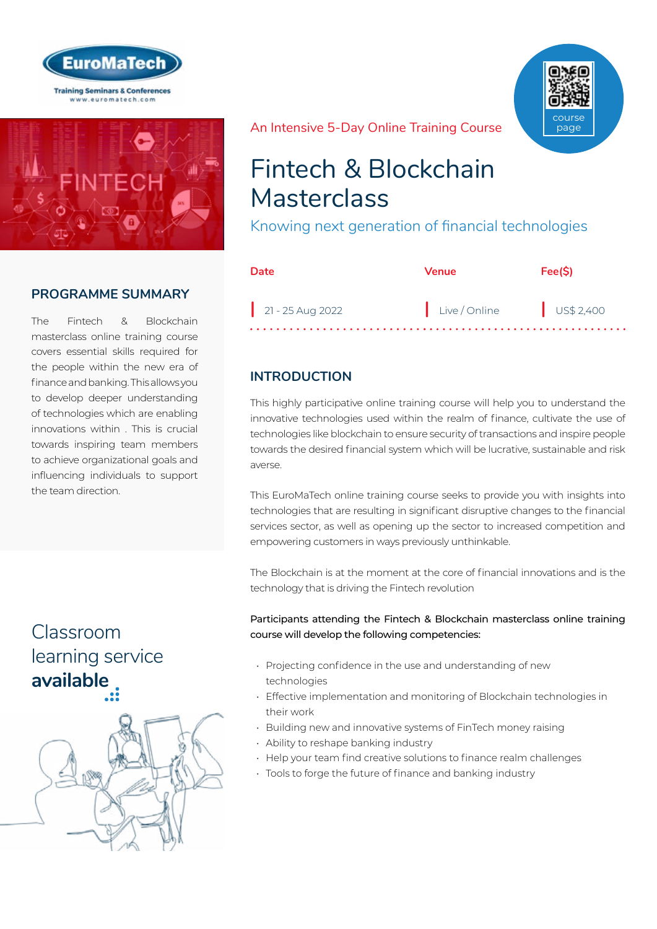



# **PROGRAMME SUMMARY**

The Fintech & Blockchain masterclass online training course covers essential skills required for the people within the new era of finance and banking. This allows you to develop deeper understanding of technologies which are enabling innovations within . This is crucial towards inspiring team members to achieve organizational goals and influencing individuals to support the team direction.

# Classroom [learning service](https://www.euromatech.com/classroom-training-courses)  **available**



An Intensive 5-Day Online Training Course



Knowing next generation of financial technologies

| Date             | <b>Venue</b>             | Fee(S) |
|------------------|--------------------------|--------|
| 21 - 25 Aug 2022 | Live / Online US\$ 2,400 |        |

# **INTRODUCTION**

This highly participative online training course will help you to understand the innovative technologies used within the realm of finance, cultivate the use of technologies like blockchain to ensure security of transactions and inspire people towards the desired financial system which will be lucrative, sustainable and risk averse.

This EuroMaTech online training course seeks to provide you with insights into technologies that are resulting in significant disruptive changes to the financial services sector, as well as opening up the sector to increased competition and empowering customers in ways previously unthinkable.

The Blockchain is at the moment at the core of financial innovations and is the technology that is driving the Fintech revolution

Participants attending the Fintech & Blockchain masterclass online training course will develop the following competencies:

- Projecting confidence in the use and understanding of new technologies
- Effective implementation and monitoring of Blockchain technologies in their work
- Building new and innovative systems of FinTech money raising
- Ability to reshape banking industry
- Help your team find creative solutions to finance realm challenges
- Tools to forge the future of finance and banking industry

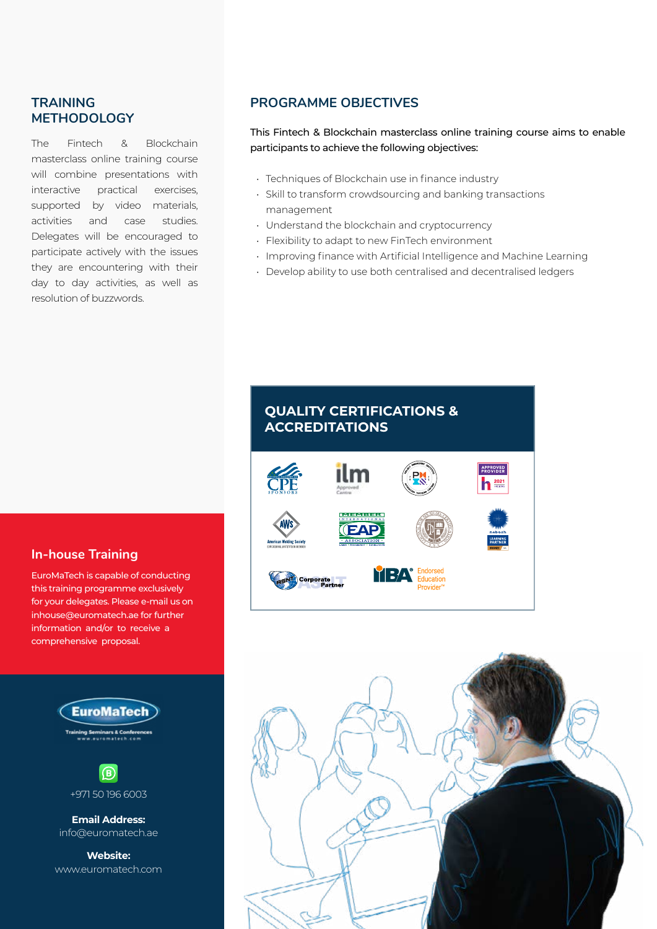## **TRAINING METHODOLOGY**

The Fintech & Blockchain masterclass online training course will combine presentations with interactive practical exercises, supported by video materials, activities and case studies. Delegates will be encouraged to participate actively with the issues they are encountering with their day to day activities, as well as resolution of buzzwords.

# **PROGRAMME OBJECTIVES**

This Fintech & Blockchain masterclass online training course aims to enable participants to achieve the following objectives:

- Techniques of Blockchain use in finance industry
- Skill to transform crowdsourcing and banking transactions management
- Understand the blockchain and cryptocurrency
- Flexibility to adapt to new FinTech environment
- Improving finance with Artificial Intelligence and Machine Learning
- Develop ability to use both centralised and decentralised ledgers

# **QUALITY CERTIFICATIONS & ACCREDITATIONS**





### **In-house Training**

EuroMaTech is capable of conducting this training programme exclusively for your delegates. Please e-mail us on inhouse@euromatech.ae for further information and/or to receive a comprehensive proposal.



www.euromatech.com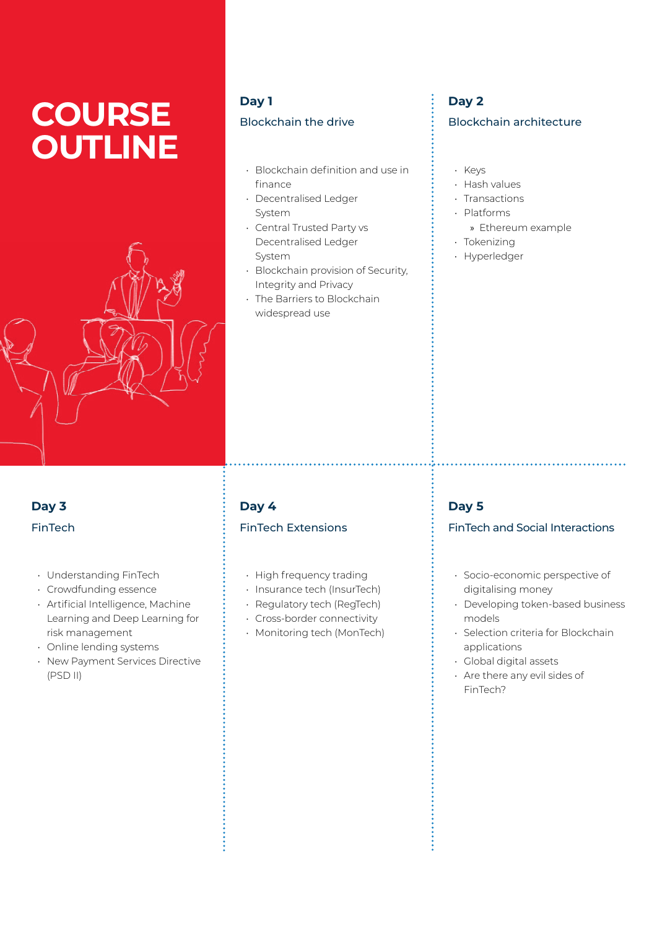# **COURSE OUTLINE**



# **Day 1** Blockchain the drive

- Blockchain definition and use in finance
- Decentralised Ledger System
- Central Trusted Party vs Decentralised Ledger System
- Blockchain provision of Security, Integrity and Privacy
- The Barriers to Blockchain widespread use

# **Day 2** Blockchain architecture

- Keys
- Hash values
- Transactions
- Platforms
- » Ethereum example
- Tokenizing
- Hyperledger

# **Day 3** FinTech

- Understanding FinTech
- Crowdfunding essence
- Artificial Intelligence, Machine Learning and Deep Learning for risk management
- Online lending systems
- New Payment Services Directive (PSD II)

# **Day 4** FinTech Extensions

- High frequency trading
- Insurance tech (InsurTech)
- Regulatory tech (RegTech)
- Cross-border connectivity
- Monitoring tech (MonTech)

# **Day 5**

### FinTech and Social Interactions

- Socio-economic perspective of digitalising money
- Developing token-based business models
- Selection criteria for Blockchain applications
- Global digital assets
- Are there any evil sides of FinTech?